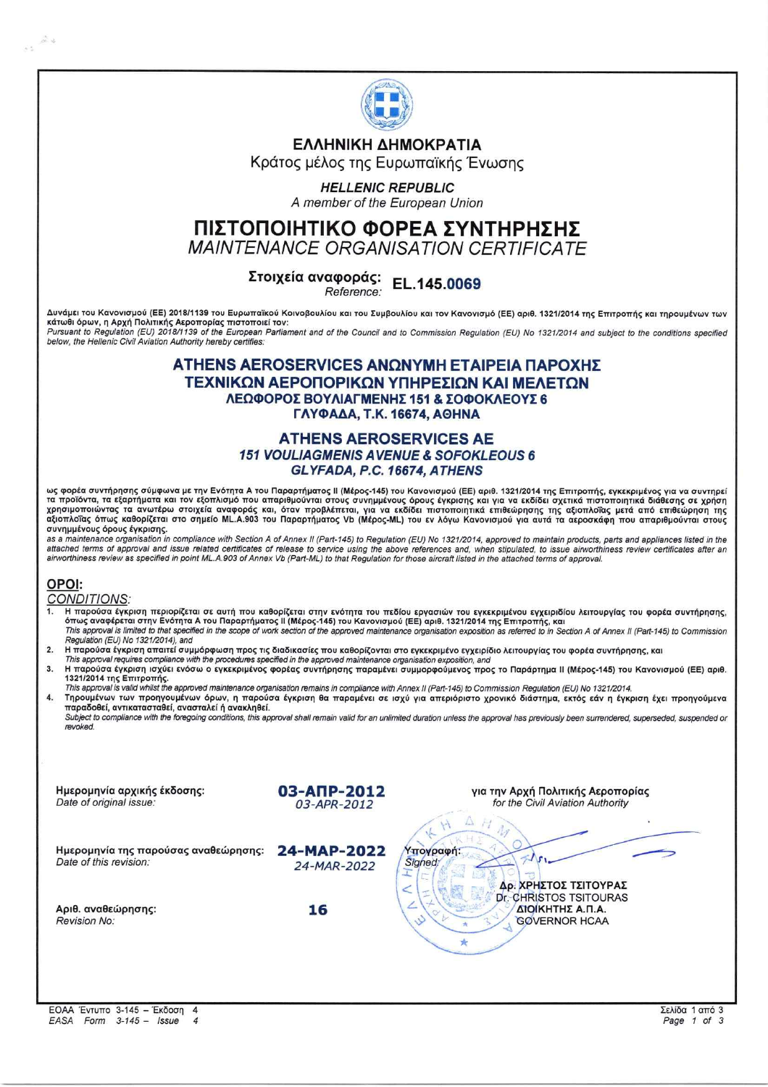

### ΕΛΛΗΝΙΚΗ ΔΗΜΟΚΡΑΤΙΑ

Κράτος μέλος της Ευρωπαϊκής Ένωσης

### **HELLENIC REPUBLIC**

A member of the European Union

# ΠΙΣΤΟΠΟΙΗΤΙΚΟ ΦΟΡΕΑ ΣΥΝΤΗΡΗΣΗΣ

**MAINTENANCE ORGANISATION CERTIFICATE** 

# Στοιχεία αναφοράς: EL.145.0069

Reference:

Δυνάμει του Κανονισμού (ΕΕ) 2018/1139 του Ευρωπαϊκού Κοινοβουλίου και του Συμβουλίου και τον Κανονισμό (ΕΕ) αριθ. 1321/2014 της Επιτροπής και τηρουμένων των κάτωθι όρων, η Αρχή Πολιτικής Αεροπορίας πιστοποιεί τον: Pursuant to Regulation (EU) 2018/1139 of the European Parliament and of the Council and to Commission Regulation (EU) No 1321/2014 and subject to the conditions specified below, the Hellenic Civil Aviation Authority hereby certifies.

### ΑΤΗΕΝS AEROSERVICES ΑΝΩΝΥΜΗ ΕΤΑΙΡΕΙΑ ΠΑΡΟΧΗΣ ΤΕΧΝΙΚΩΝ ΑΕΡΟΠΟΡΙΚΩΝ ΥΠΗΡΕΣΙΩΝ ΚΑΙ ΜΕΛΕΤΩΝ ΛΕΩΦΟΡΟΣ ΒΟΥΛΙΑΓΜΕΝΗΣ 151 & ΣΟΦΟΚΛΕΟΥΣ 6 ΓΛΥΦΑΔΑ, Τ.Κ. 16674, ΑΘΗΝΑ

### **ATHENS AEROSERVICES AE 151 VOULIAGMENIS AVENUE & SOFOKLEOUS 6** GLYFADA, P.C. 16674, ATHENS

ως φορέα συντήρησης σύμφωνα με την Ενότητα Α του Παραρτήματος ΙΙ (Μέρος-145) του Κανονισμού (ΕΕ) αριθ. 1321/2014 της Επιτροπής, εγκεκριμένος για να συντηρεί ας προϊόντα, τα εξαρτήματα και τον εξοπλισμό που απαριθμούνται στους συνημμένους όρους έγκρισης και για να εκδίδει σχετικά πιστοποιητικά διάθεσης σε χρήση<br>χρησιμοποιώντας τα ανωτέρω στοιχεία αναφοράς και, όταν προβλέπεται συνημμένους όρους έγκρισης.

as a maintenance organisation in compliance with Section A of Annex II (Part-145) to Regulation (EU) No 1321/2014, approved to maintain products, parts and appliances listed in the<br>attached terms of approval and issue rela airworthiness review as specified in point ML.A.903 of Annex Vb (Part-ML) to that Regulation for those aircraft listed in the attached terms of approval

## OPOI:

 $\mathbb{Z}^2$  $\lambda$  .

**CONDITIONS:** 

- Η παρούσα έγκριση περιορίζεται σε αυτή που καθορίζεται στην ενότητα του πεδίου εργασιών του εγκεκριμένου εγχειριδίου λειτουργίας του φορέα συντήρησης,<br>όπως αναφέρεται στην Ενότητα Α του Παραρτήματος ΙΙ (Μέρος-145) του Καν Regulation (EU) No 1321/2014), and
- νισμασιότα έγκριση απαιτεί συμμόρφωση προς τις διαδικασίες που καθορίζονται στο εγκεκριμένο εγχειρίδιο λειτουργίας του φορέα συντήρησης, και  $\overline{2}$
- This approval requires compliance with the procedures specified in the approved maintenance organisation exposition, and
- $3.$ Η παρούσα έγκριση ισχύει ενόσω ο εγκεκριμένος φορέας συντήρησης παραμένει συμμορφούμενος προς το Παράρτημα ΙΙ (Μέρος-145) του Κανονισμού (ΕΕ) αριθ. 1321/2014 της Επιτροπής.
- This approval is valid whilst the approved maintenance organisation remains in compliance with Annex II (Part-145) to Commission Regulation (EU) No 1321/2014. Τηρουμένων των προηγουμένων όρων, η παρούσα έγκριση θα παραμένει σε ισχύ για απεριόριστο χρονικό διάστημα, εκτός εάν η έγκριση έχει προηγούμενα  $\overline{\mathbf{4}}$

παραδοθεί, αντικατασταθεί, ανασταλεί ή ανακληθεί. Subject to compliance with the foregoing conditions, this approval shall remain valid for an unlimited duration unless the approval has previously been surrendered, superseded, suspended or revoked.

| Ημερομηνία αρχικής έκδοσης:<br>Date of original issue:         | 03-АПР-2012<br>03-APR-2012 | για την Αρχή Πολιτικής Αεροπορίας<br>for the Civil Aviation Authority               |  |
|----------------------------------------------------------------|----------------------------|-------------------------------------------------------------------------------------|--|
| Ημερομηνία της παρούσας αναθεώρησης:<br>Date of this revision: | 24-MAP-2022<br>24-MAR-2022 | $\left( \frac{1}{2} \right)$<br>Υπογραφή:<br>Signed:<br>Δρ. ΧΡΗΣΤΟΣ ΤΣΙΤΟΥΡΑΣ       |  |
| Αριθ. αναθεώρησης:<br><b>Revision No:</b>                      | 16                         | Dr. CHRISTOS TSITOURAS<br>ΔΙΟΙΚΗΤΗΣ Α.Π.Α.<br><b>GOVERNOR HCAA</b><br>$\mathcal{S}$ |  |
|                                                                |                            |                                                                                     |  |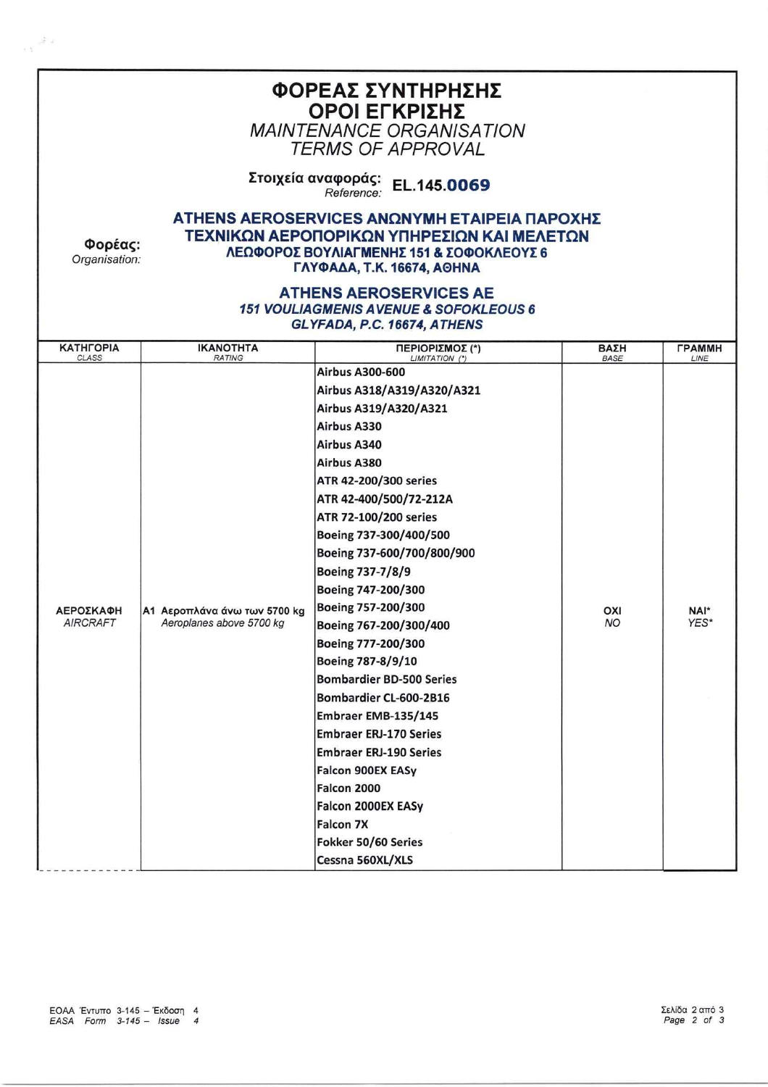| ΦΟΡΕΑΣ ΣΥΝΤΗΡΗΣΗΣ<br>ΟΡΟΙ ΕΓΚΡΙΣΗΣ<br><b>MAINTENANCE ORGANISATION</b><br><i>TERMS OF APPROVAL</i>                                                                                                |                                                          |                                                                                                                                                                                                                                                                                                                                                                                                                                                                                                                                                                                                                                                                                    |                     |                              |  |  |
|--------------------------------------------------------------------------------------------------------------------------------------------------------------------------------------------------|----------------------------------------------------------|------------------------------------------------------------------------------------------------------------------------------------------------------------------------------------------------------------------------------------------------------------------------------------------------------------------------------------------------------------------------------------------------------------------------------------------------------------------------------------------------------------------------------------------------------------------------------------------------------------------------------------------------------------------------------------|---------------------|------------------------------|--|--|
| Στοιχεία αναφοράς:<br>EL.145,0069<br>Reference:                                                                                                                                                  |                                                          |                                                                                                                                                                                                                                                                                                                                                                                                                                                                                                                                                                                                                                                                                    |                     |                              |  |  |
| ΑΤΗΕΝS AEROSERVICES ΑΝΩΝΥΜΗ ΕΤΑΙΡΕΙΑ ΠΑΡΟΧΗΣ<br>ΤΕΧΝΙΚΩΝ ΑΕΡΟΠΟΡΙΚΩΝ ΥΠΗΡΕΣΙΩΝ ΚΑΙ ΜΕΛΕΤΩΝ<br>Φορέας:<br>ΛΕΩΦΟΡΟΣ ΒΟΥΛΙΑΓΜΕΝΗΣ 151 & ΣΟΦΟΚΛΕΟΥΣ 6<br>Organisation:<br>ΓΛΥΦΑΔΑ, Τ.Κ. 16674, ΑΘΗΝΑ |                                                          |                                                                                                                                                                                                                                                                                                                                                                                                                                                                                                                                                                                                                                                                                    |                     |                              |  |  |
| <b>ATHENS AEROSERVICES AE</b><br><b>151 VOULIAGMENIS AVENUE &amp; SOFOKLEOUS 6</b><br>GLYFADA, P.C. 16674, ATHENS                                                                                |                                                          |                                                                                                                                                                                                                                                                                                                                                                                                                                                                                                                                                                                                                                                                                    |                     |                              |  |  |
| <b>КАТНГОРІА</b><br><b>CLASS</b>                                                                                                                                                                 | <b>IKANOTHTA</b><br><b>RATING</b>                        | ΠΕΡΙΟΡΙΣΜΟΣ (*)<br>LIMITATION (*)                                                                                                                                                                                                                                                                                                                                                                                                                                                                                                                                                                                                                                                  | BΑΣΗ<br><b>BASE</b> | <b><i>FPAMMH</i></b><br>LINE |  |  |
| ΑΕΡΟΣΚΑΦΗ<br><b>AIRCRAFT</b>                                                                                                                                                                     | Α1 Αεροπλάνα άνω των 5700 kg<br>Aeroplanes above 5700 kg | <b>Airbus A300-600</b><br>Airbus A318/A319/A320/A321<br>Airbus A319/A320/A321<br>Airbus A330<br>Airbus A340<br>Airbus A380<br>ATR 42-200/300 series<br>ATR 42-400/500/72-212A<br>ATR 72-100/200 series<br>Boeing 737-300/400/500<br>Boeing 737-600/700/800/900<br>Boeing 737-7/8/9<br>Boeing 747-200/300<br>Boeing 757-200/300<br>Boeing 767-200/300/400<br>Boeing 777-200/300<br>Boeing 787-8/9/10<br><b>Bombardier BD-500 Series</b><br>Bombardier CL-600-2B16<br>Embraer EMB-135/145<br><b>Embraer ERJ-170 Series</b><br><b>Embraer ERJ-190 Series</b><br>Falcon 900EX EASy<br>Falcon 2000<br>Falcon 2000EX EASy<br><b>Falcon 7X</b><br>Fokker 50/60 Series<br>Cessna 560XL/XLS | OXI<br><b>NO</b>    | NAI*<br>YES*                 |  |  |

 $\sim$  s  $^{-20\%}$